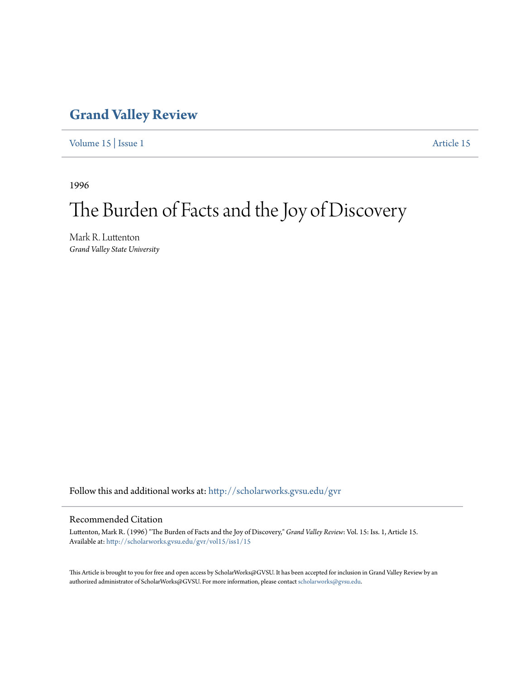## **[Grand Valley Review](http://scholarworks.gvsu.edu/gvr?utm_source=scholarworks.gvsu.edu%2Fgvr%2Fvol15%2Fiss1%2F15&utm_medium=PDF&utm_campaign=PDFCoverPages)**

[Volume 15](http://scholarworks.gvsu.edu/gvr/vol15?utm_source=scholarworks.gvsu.edu%2Fgvr%2Fvol15%2Fiss1%2F15&utm_medium=PDF&utm_campaign=PDFCoverPages) | [Issue 1](http://scholarworks.gvsu.edu/gvr/vol15/iss1?utm_source=scholarworks.gvsu.edu%2Fgvr%2Fvol15%2Fiss1%2F15&utm_medium=PDF&utm_campaign=PDFCoverPages) [Article 15](http://scholarworks.gvsu.edu/gvr/vol15/iss1/15?utm_source=scholarworks.gvsu.edu%2Fgvr%2Fvol15%2Fiss1%2F15&utm_medium=PDF&utm_campaign=PDFCoverPages)

1996

# The Burden of Facts and the Joy of Discovery

Mark R. Luttenton *Grand Valley State University*

Follow this and additional works at: [http://scholarworks.gvsu.edu/gvr](http://scholarworks.gvsu.edu/gvr?utm_source=scholarworks.gvsu.edu%2Fgvr%2Fvol15%2Fiss1%2F15&utm_medium=PDF&utm_campaign=PDFCoverPages)

#### Recommended Citation

Luttenton, Mark R. (1996) "The Burden of Facts and the Joy of Discovery," *Grand Valley Review*: Vol. 15: Iss. 1, Article 15. Available at: [http://scholarworks.gvsu.edu/gvr/vol15/iss1/15](http://scholarworks.gvsu.edu/gvr/vol15/iss1/15?utm_source=scholarworks.gvsu.edu%2Fgvr%2Fvol15%2Fiss1%2F15&utm_medium=PDF&utm_campaign=PDFCoverPages)

This Article is brought to you for free and open access by ScholarWorks@GVSU. It has been accepted for inclusion in Grand Valley Review by an authorized administrator of ScholarWorks@GVSU. For more information, please contact [scholarworks@gvsu.edu.](mailto:scholarworks@gvsu.edu)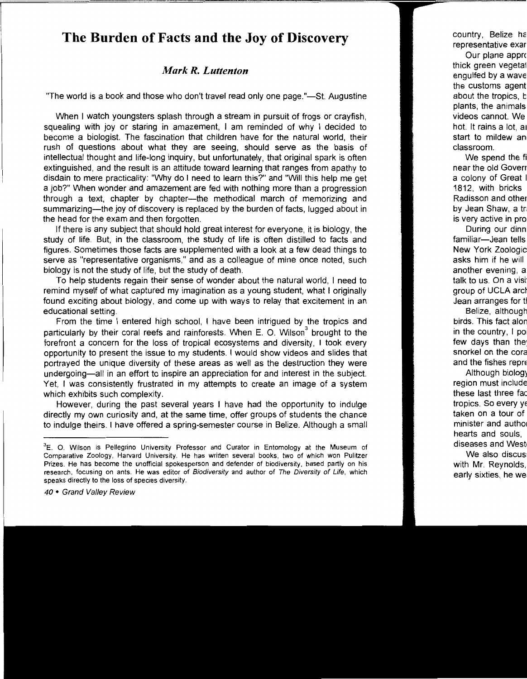### **The Burden of Facts and the Joy of Discovery**

#### *Mark R. Luttenton*

"The world is a book and those who don't travel read only one page."—St. Augustine

When I watch youngsters splash through a stream in pursuit of frogs or crayfish, squealing with joy or staring in amazement, I am reminded of why I decided to become a biologist. The fascination that children have for the natural world, their rush of questions about what they are seeing, should serve as the basis of intellectual thought and life-long inquiry, but unfortunately, that original spark is often extinguished, and the result is an attitude toward learning that ranges from apathy to disdain to mere practicality: "Why do I need to learn this?" and "Will this help me get a job?" When wonder and amazement are fed with nothing more than a progression through a text, chapter by chapter-the methodical march of memorizing and summarizing—the joy of discovery is replaced by the burden of facts, lugged about in the head for the exam and then forgotten.

If there is any subject that should hold great interest for everyone, it is biology, the study of life. But, in the classroom, the study of life is often distilled to facts and figures. Sometimes those facts are supplemented with a look at a few dead things to serve as "representative organisms," and as a colleague of mine once noted, such biology is not the study of life, but the study of death.

To help students regain their sense of wonder about the natural world, I need to remind myself of what captured my imagination as a young student, what I originally found exciting about biology, and come up with ways to relay that excitement in an educational setting.

From the time I entered high school, I have been intrigued by the tropics and particularly by their coral reefs and rainforests. When E. O. Wilson<sup>3</sup> brought to the forefront a concern for the loss of tropical ecosystems and diversity, I took every opportunity to present the issue to my students. I would show videos and slides that portrayed the unique diversity of these areas as well as the destruction they were undergoing-all in an effort to inspire an appreciation for and interest in the subject. Yet, I was consistently frustrated in my attempts to create an image of a system which exhibits such complexity.

However, during the past several years I have had the opportunity to indulge directly my own curiosity and, at the same time, offer groups of students the chance to indulge theirs. I have offered a spring-semester course in Belize. Although a small

<sup>3</sup> E. 0. Wilson is Pellegrino University Professor and Curator in Entomology at the Museum of Comparative Zoology, Harvard University. He has written several books, two of which won Pulitzer Prizes. He has become the unofficial spokesperson and defender of biodiversity, based partly on his research, focusing on ants. He was editor of Biodiversity and author of The Diversity of Life, which speaks directly to the loss of species diversity.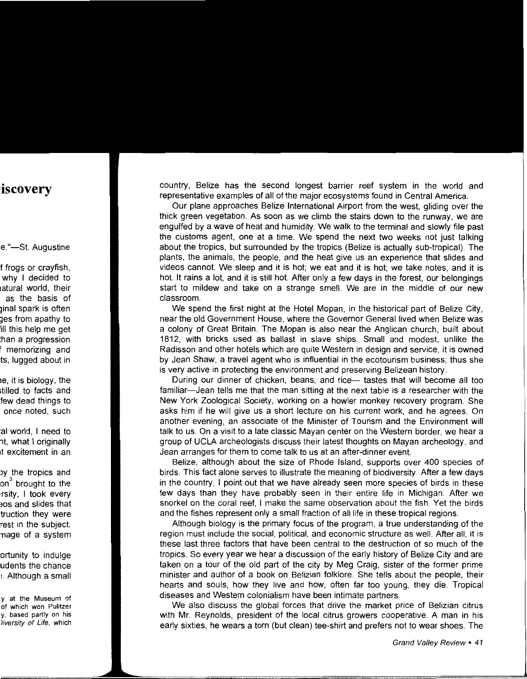country, Belize has the second longest barrier reef system in the world and representative examples of all of the major ecosystems found in Central America.

Our plane approaches Belize International Airport from the west, gliding over the thick green vegetation. As soon as we climb the stairs down to the runway, we are engulfed by a wave of heat and humidity. We walk to the terminal and slowly file past the customs agent, one at a time. We spend the next two weeks not just talking about the tropics, but surrounded by the tropics (Belize is actually sub-tropical). The plants, the animals, the people, and the heat give us an experience that slides and videos cannot. We sleep and it is hot; we eat and it is hot; we take notes, and it is hot. It rains a lot, and it is still hot. After only a few days in the forest, our belongings start to mildew and take on a strange smell. We are in the middle of our new classroom.

We spend the first night at the Hotel Mopan, in the historical part of Belize City, near the old Government House, where the Governor General lived when Belize was a colony of Great Britain. The Mopan is also near the Anglican church, built about 1812, with bricks used as ballast in slave ships. Small and modest, unlike the Radisson and other hotels which are quite Western in design and service, it is owned by Jean Shaw, a travel agent who is influential in the ecotourism business; thus she is very active in protecting the environment and preserving Belizean history.

During our dinner of chicken, beans, and rice— tastes that will become all too familiar-Jean tells me that the man sitting at the next table is a researcher with the New York Zoological Society, working on a howler monkey recovery program. She asks him if he will give us a short lecture on his current work, and he agrees. On another evening, an associate of the Minister of Tourism and the Environment will talk to us. On a visit to a late classic Mayan center on the Western border, we hear a group of UCLA archeologists discuss their latest thoughts on Mayan archeology, and Jean arranges for them to come talk to us at an after-dinner event.

Belize, although about the size of Rhode Island, supports over 400 species of birds. This fact alone serves to illustrate the meaning of biodiversity. After a few days in the country, I point out that we have already seen more species of birds in these few days than they have probably seen in their entire life in Michigan. After we snorkel on the coral reef, I make the same observation about the fish. Yet the birds and the fishes represent only a small fraction of all life in these tropical regions.

Although biology is the primary focus of the program, a true understanding of the region must include the social, political, and economic structure as well. After all, it is these last three factors that have been central to the destruction of so much of the tropics. So every year we hear a discussion of the early history of Belize City and are taken on a tour of the old part of the city by Meg Craig, sister of the former prime minister and author of a book on Belizian folklore. She tells about the people, their hearts and souls, how they live and how, often far too young, they die. Tropical diseases and Western colonialism have been intimate partners.

We also discuss the global forces that drive the market price of Belizian citrus with Mr. Reynolds, president of the local citrus growers cooperative. A man in his early sixties, he wears a torn (but clean) tee-shirt and prefers not to wear shoes. The